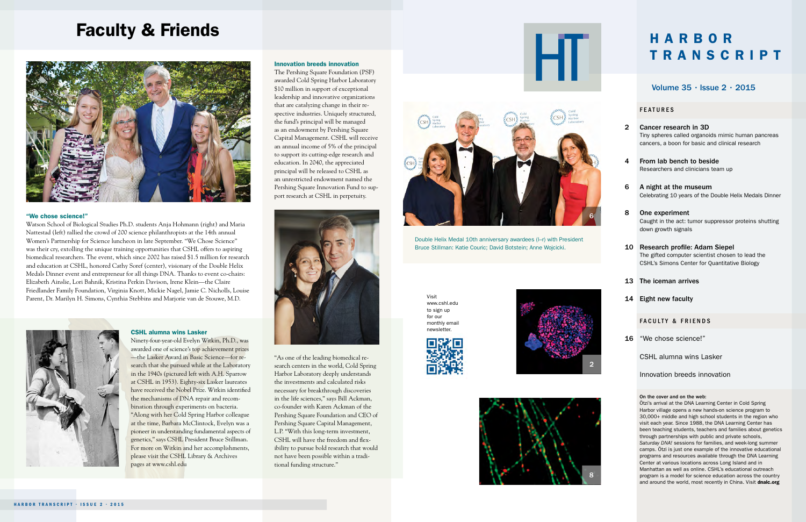# Faculty & Friends



# "We chose science!"

Watson School of Biological Studies Ph.D. students Anja Hohmann (right) and Maria Nattestad (left) rallied the crowd of 200 science philanthropists at the 14th annual Women's Partnership for Science luncheon in late September. "We Chose Science" was their cry, extolling the unique training opportunities that CSHL offers to aspiring biomedical researchers. The event, which since 2002 has raised \$1.5 million for research and education at CSHL, honored Cathy Soref (center), visionary of the Double Helix Medals Dinner event and entrepreneur for all things DNA. Thanks to event co-chairs: Elizabeth Ainslie, Lori Bahnik, Kristina Perkin Davison, Irene Klein—the Claire Friedlander Family Foundation, Virginia Knott, Mickie Nagel, Jamie C. Nicholls, Louise Parent, Dr. Marilyn H. Simons, Cynthia Stebbins and Marjorie van de Stouwe, M.D.



#### CSHL alumna wins Lasker

Ninety-four-year-old Evelyn Witkin, Ph.D., was awarded one of science's top achievement prizes —the Lasker Award in Basic Science—for research that she pursued while at the Laboratory in the 1940s (pictured left with A.H. Sparrow at CSHL in 1953). Eighty-six Lasker laureates have received the Nobel Prize. Witkin identified the mechanisms of DNA repair and recombination through experiments on bacteria. "Along with her Cold Spring Harbor colleague at the time, Barbara McClintock, Evelyn was a pioneer in understanding fundamental aspects of genetics," says CSHL President Bruce Stillman. For more on Witkin and her accomplishments, please visit the CSHL Library & Archives pages at www.cshl.edu

# Innovation breeds innovation

The Pershing Square Foundation (PSF) awarded Cold Spring Harbor Laboratory \$10 million in support of exceptional leadership and innovative organizations that are catalyzing change in their respective industries. Uniquely structured, the fund's principal will be managed as an endowment by Pershing Square Capital Management. CSHL will receive an annual income of 5% of the principal to support its cutting-edge research and education. In 2040, the appreciated principal will be released to CSHL as an unrestricted endowment named the Pershing Square Innovation Fund to support research at CSHL in perpetuity.



"As one of the leading biomedical research centers in the world, Cold Spring Harbor Laboratory deeply understands the investments and calculated risks necessary for breakthrough discoveries in the life sciences," says Bill Ackman, co-founder with Karen Ackman of the Pershing Square Foundation and CEO of Pershing Square Capital Management, L.P. "With this long-term investment, CSHL will have the freedom and flexibility to pursue bold research that would not have been possible within a traditional funding structure."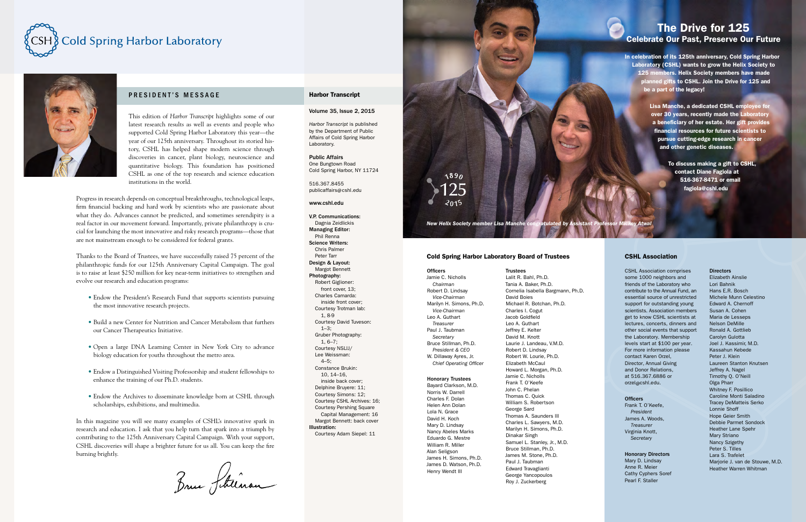# The Drive for 125 Celebrate Our Past, Preserve Our Future

In celebration of its 125th anniversary, Cold Spring Harbor Laboratory (CSHL) wants to grow the Helix Society to 125 members. Helix Society members have made planned gifts to CSHL. Join the Drive for 125 and be a part of the legacy!

> Lisa Manche, a dedicated CSHL employee for over 30 years, recently made the Laboratory a beneficiary of her estate. Her gift provides financial resources for future scientists to pursue cutting-edge research in cancer and other genetic diseases.

> > To discuss making a gift to CSHL, contact Diane Fagiola at 516-367-8471 or email fagiola@cshl.edu

*New Helix Society member Lisa Manche congratulated by Assistant Professor Mickey Atwal* 

# Cold Spring Harbor Laboratory Board of Trustees

#### **Officers**

Jamie C. Nicholls *Chairman* Robert D. Lindsay *Vice-Chairman* Marilyn H. Simons, Ph.D. *Vice-Chairman* Leo A. Guthart *Treasurer* Paul J. Taubman *Secretary* Bruce Stillman, Ph.D. *President & CEO* W. Dillaway Ayres, Jr. *Chief Operating Officer*

1890

#### Honorary Trustees

Bayard Clarkson, M.D. Norris W. Darrell Charles F. Dolan Helen Ann Dolan Lola N. Grace David H. Koch Mary D. Lindsay Nancy Abeles Marks Eduardo G. Mestre William R. Miller Alan Seligson James H. Simons, Ph.D. James D. Watson, Ph.D. Henry Wendt III

### **Trustees**

Lalit R. Bahl, Ph.D. Tania A. Baker, Ph.D. Cornelia Isabella Bargmann, Ph.D. David Boies Michael R. Botchan, Ph.D. Charles I. Cogut Jacob Goldfield Leo A. Guthart Jeffrey E. Kelter David M. Knott Laurie J. Landeau, V.M.D. Robert D. Lindsay Robert W. Lourie, Ph.D. Elizabeth McCaul Howard L. Morgan, Ph.D. Jamie C. Nicholls Frank T. O'Keefe John C. Phelan Thomas C. Quick William S. Robertson George Sard Thomas A. Saunders III Charles L. Sawyers, M.D. Marilyn H. Simons, Ph.D. Dinakar Singh Samuel L. Stanley, Jr., M.D. Bruce Stillman, Ph.D. James M. Stone, Ph.D. Paul J. Taubman Edward Travaglianti George Yancopoulos Roy J. Zuckerberg

### CSHL Association

CSHL Association comprises some 1000 neighbors and friends of the Laboratory who contribute to the Annual Fund, an essential source of unrestricted support for outstanding young scientists. Association members get to know CSHL scientists at lectures, concerts, dinners and other social events that support the Laboratory. Membership levels start at \$100 per year. For more information please contact Karen Orzel, Director, Annual Giving and Donor Relations, at 516.367.6886 or orzel@cshl.edu.

#### **Officers**

Frank T. O'Keefe, *President* James A. Woods, *Treasurer* Virginia Knott, *Secretary*

#### Honorary Directors

Mary D. Lindsay Anne R. Meier Cathy Cyphers Soref Pearl F. Staller

#### **Directors**

Elizabeth Ainslie Lori Bahnik Hans E.R. Bosch Michele Munn Celestino Edward A. Chernoff Susan A. Cohen Maria de Lesseps Nelson DeMille Ronald A. Gottlieb Carolyn Gulotta Joel J. Kassimir, M.D. Kassahun Kebede Peter J. Klein Laureen Stanton Knutsen Jeffrey A. Nagel Timothy Q. O'Neill Olga Pharr Whitney F. Posillico Caroline Monti Saladino Tracey DeMatteis Serko Lonnie Shoff Hope Geier Smith Debbie Parmet Sondock Heather Lane Spehr Mary Striano Nancy Szigethy Peter S. Tilles Lara S. Trafelet Marjorie J. van de Stouwe, M.D. Heather Warren Whitman